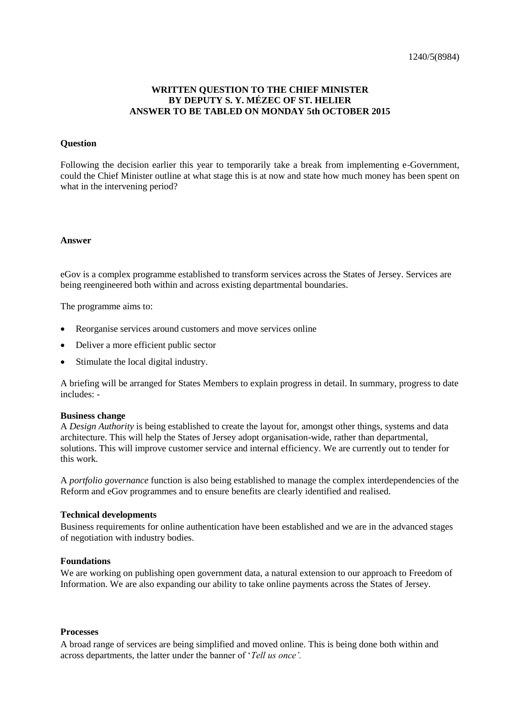## **WRITTEN QUESTION TO THE CHIEF MINISTER BY DEPUTY S. Y. MÉZEC OF ST. HELIER ANSWER TO BE TABLED ON MONDAY 5th OCTOBER 2015**

#### **Question**

Following the decision earlier this year to temporarily take a break from implementing e-Government, could the Chief Minister outline at what stage this is at now and state how much money has been spent on what in the intervening period?

#### **Answer**

eGov is a complex programme established to transform services across the States of Jersey. Services are being reengineered both within and across existing departmental boundaries.

The programme aims to:

- Reorganise services around customers and move services online
- Deliver a more efficient public sector
- Stimulate the local digital industry.

A briefing will be arranged for States Members to explain progress in detail. In summary, progress to date includes: -

#### **Business change**

A *Design Authority* is being established to create the layout for, amongst other things, systems and data architecture. This will help the States of Jersey adopt organisation-wide, rather than departmental, solutions. This will improve customer service and internal efficiency. We are currently out to tender for this work.

A *portfolio governance* function is also being established to manage the complex interdependencies of the Reform and eGov programmes and to ensure benefits are clearly identified and realised.

### **Technical developments**

Business requirements for online authentication have been established and we are in the advanced stages of negotiation with industry bodies.

#### **Foundations**

We are working on publishing open government data, a natural extension to our approach to Freedom of Information. We are also expanding our ability to take online payments across the States of Jersey.

### **Processes**

A broad range of services are being simplified and moved online. This is being done both within and across departments, the latter under the banner of '*Tell us once'.*